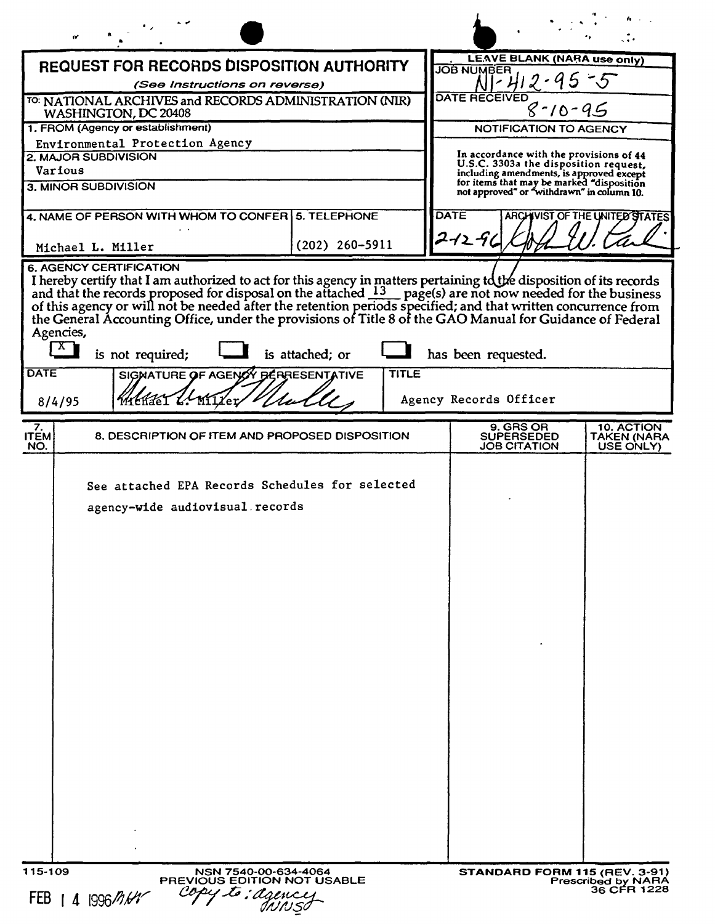| LEAVE BLANK (NARA use only)<br><b>REQUEST FOR RECORDS DISPOSITION AUTHORITY</b><br><b>JOB NUMBER</b><br>(See Instructions on reverse)<br><b>DATE RECEIVED</b><br>TO: NATIONAL ARCHIVES and RECORDS ADMINISTRATION (NIR)<br>$8 - 10 - 95$<br>WASHINGTON, DC 20408<br>1. FROM (Agency or establishment)<br>NOTIFICATION TO AGENCY<br>Environmental Protection Agency<br>In accordance with the provisions of 44<br>2. MAJOR SUBDIVISION<br>U.S.C. 3303a the disposition request,<br>Various<br>including amendments, is approved except<br>for items that may be marked "disposition<br>3. MINOR SUBDIVISION<br>not approved" or "withdrawn" in column 10.<br><b>DATE</b><br>ARCHIVIST OF THE UNITED STATES<br>4. NAME OF PERSON WITH WHOM TO CONFER 5. TELEPHONE<br>2-12-91<br>$(202)$ 260-5911<br>Michael L. Miller<br><b>6. AGENCY CERTIFICATION</b><br>I hereby certify that I am authorized to act for this agency in matters pertaining to the disposition of its records and that the records proposed for disposal on the attached $13$ page(s) are not now needed for the busin<br>the General Accounting Office, under the provisions of Title 8 of the GAO Manual for Guidance of Federal<br>Agencies,<br>$\mathbf{X}$<br>is attached; or<br>is not required;<br>has been requested.<br><b>DATE</b><br>SIGNATURE OF AGENCY BERRESENTATIVE<br><b>TITLE</b><br>Withder L. Miller<br>Agency Records Officer<br>8/4/95<br>9. GRS OR<br>10. ACTION<br>7.<br><b>ITEM</b><br>8. DESCRIPTION OF ITEM AND PROPOSED DISPOSITION<br>SUPERSEDED<br>TAKEN (NARA<br>NO.<br>JOB CITATION<br>USE ONLY)<br>See attached EPA Records Schedules for selected<br>agency-wide audiovisual records<br>115-109<br>NSN 7540-00-634-4064<br>STANDARD FORM 115 (REV. 3-91)<br>PREVIOUS EDITION NOT USABLE<br><b>Prescribed by NARA</b> |                 |  | <b>NWML</b> |
|-----------------------------------------------------------------------------------------------------------------------------------------------------------------------------------------------------------------------------------------------------------------------------------------------------------------------------------------------------------------------------------------------------------------------------------------------------------------------------------------------------------------------------------------------------------------------------------------------------------------------------------------------------------------------------------------------------------------------------------------------------------------------------------------------------------------------------------------------------------------------------------------------------------------------------------------------------------------------------------------------------------------------------------------------------------------------------------------------------------------------------------------------------------------------------------------------------------------------------------------------------------------------------------------------------------------------------------------------------------------------------------------------------------------------------------------------------------------------------------------------------------------------------------------------------------------------------------------------------------------------------------------------------------------------------------------------------------------------------------------------------------------------------------------------------------------------|-----------------|--|-------------|
|                                                                                                                                                                                                                                                                                                                                                                                                                                                                                                                                                                                                                                                                                                                                                                                                                                                                                                                                                                                                                                                                                                                                                                                                                                                                                                                                                                                                                                                                                                                                                                                                                                                                                                                                                                                                                       |                 |  |             |
|                                                                                                                                                                                                                                                                                                                                                                                                                                                                                                                                                                                                                                                                                                                                                                                                                                                                                                                                                                                                                                                                                                                                                                                                                                                                                                                                                                                                                                                                                                                                                                                                                                                                                                                                                                                                                       |                 |  |             |
|                                                                                                                                                                                                                                                                                                                                                                                                                                                                                                                                                                                                                                                                                                                                                                                                                                                                                                                                                                                                                                                                                                                                                                                                                                                                                                                                                                                                                                                                                                                                                                                                                                                                                                                                                                                                                       |                 |  |             |
|                                                                                                                                                                                                                                                                                                                                                                                                                                                                                                                                                                                                                                                                                                                                                                                                                                                                                                                                                                                                                                                                                                                                                                                                                                                                                                                                                                                                                                                                                                                                                                                                                                                                                                                                                                                                                       |                 |  |             |
|                                                                                                                                                                                                                                                                                                                                                                                                                                                                                                                                                                                                                                                                                                                                                                                                                                                                                                                                                                                                                                                                                                                                                                                                                                                                                                                                                                                                                                                                                                                                                                                                                                                                                                                                                                                                                       |                 |  |             |
|                                                                                                                                                                                                                                                                                                                                                                                                                                                                                                                                                                                                                                                                                                                                                                                                                                                                                                                                                                                                                                                                                                                                                                                                                                                                                                                                                                                                                                                                                                                                                                                                                                                                                                                                                                                                                       |                 |  |             |
|                                                                                                                                                                                                                                                                                                                                                                                                                                                                                                                                                                                                                                                                                                                                                                                                                                                                                                                                                                                                                                                                                                                                                                                                                                                                                                                                                                                                                                                                                                                                                                                                                                                                                                                                                                                                                       |                 |  |             |
|                                                                                                                                                                                                                                                                                                                                                                                                                                                                                                                                                                                                                                                                                                                                                                                                                                                                                                                                                                                                                                                                                                                                                                                                                                                                                                                                                                                                                                                                                                                                                                                                                                                                                                                                                                                                                       |                 |  |             |
|                                                                                                                                                                                                                                                                                                                                                                                                                                                                                                                                                                                                                                                                                                                                                                                                                                                                                                                                                                                                                                                                                                                                                                                                                                                                                                                                                                                                                                                                                                                                                                                                                                                                                                                                                                                                                       |                 |  |             |
|                                                                                                                                                                                                                                                                                                                                                                                                                                                                                                                                                                                                                                                                                                                                                                                                                                                                                                                                                                                                                                                                                                                                                                                                                                                                                                                                                                                                                                                                                                                                                                                                                                                                                                                                                                                                                       |                 |  |             |
|                                                                                                                                                                                                                                                                                                                                                                                                                                                                                                                                                                                                                                                                                                                                                                                                                                                                                                                                                                                                                                                                                                                                                                                                                                                                                                                                                                                                                                                                                                                                                                                                                                                                                                                                                                                                                       |                 |  |             |
|                                                                                                                                                                                                                                                                                                                                                                                                                                                                                                                                                                                                                                                                                                                                                                                                                                                                                                                                                                                                                                                                                                                                                                                                                                                                                                                                                                                                                                                                                                                                                                                                                                                                                                                                                                                                                       |                 |  |             |
|                                                                                                                                                                                                                                                                                                                                                                                                                                                                                                                                                                                                                                                                                                                                                                                                                                                                                                                                                                                                                                                                                                                                                                                                                                                                                                                                                                                                                                                                                                                                                                                                                                                                                                                                                                                                                       |                 |  |             |
| 36 CFR 1228<br>FEB $141996$ /htm                                                                                                                                                                                                                                                                                                                                                                                                                                                                                                                                                                                                                                                                                                                                                                                                                                                                                                                                                                                                                                                                                                                                                                                                                                                                                                                                                                                                                                                                                                                                                                                                                                                                                                                                                                                      | copy to: agency |  |             |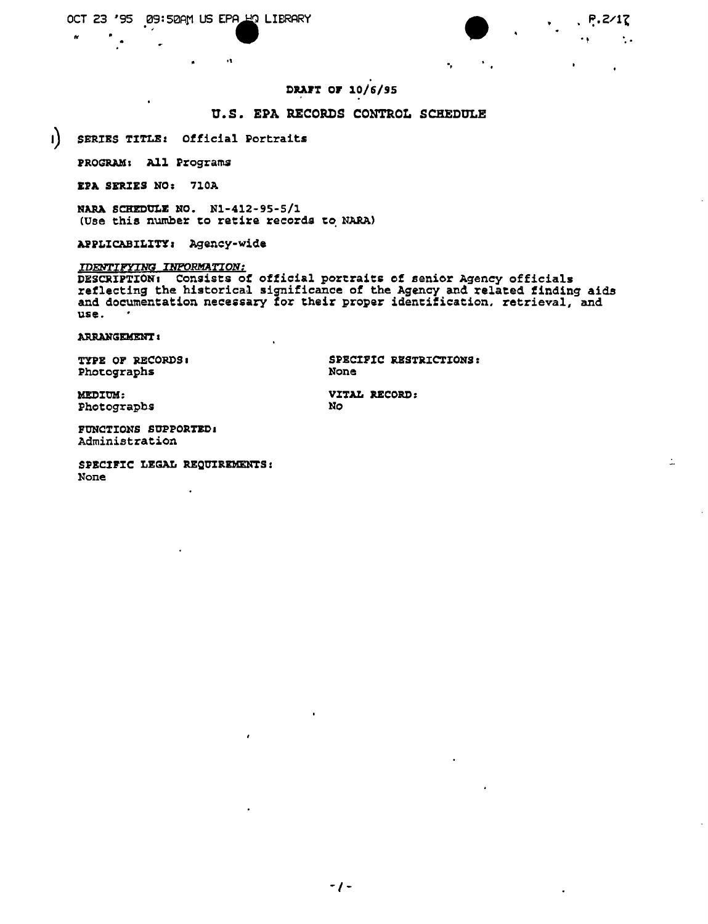$\mathbf{r}$ 

÷.

 $\mathbf{r}$ 

# DRAFT OF 10/6/95

# U.S. EPA RECORDS CONTROL SCHEDULE

 $\mathbf{I}$ SERIES TITLE: Official Portraits

PROGRAM: All Programs

EPA SERIES NO: 710A

NARA SCHEDULE NO. N1-412-95-5/1 (Use this number to retire records to NARA)

 $\mathbf{a}$ 

APPLICABILITY: Agency-wide

#### IDENTIFYING INPORMATION:

**IDENTIFIING INFORMATION:**<br>DESCRIPTION: Consists of official portraits of senior Agency officials<br>reflecting the historical significance of the Agency and related finding aids<br>and documentation necessary for their proper i use.

**ARRANGEMENT:** 

TYPE OF RECORDS: Photographs

SPECIFIC RESTRICTIONS: **None** 

 $\mathbf{e}_i$ 

MEDIUM: Photographs

VITAL RECORD: **No** 

FUNCTIONS SUPPORTED: Administration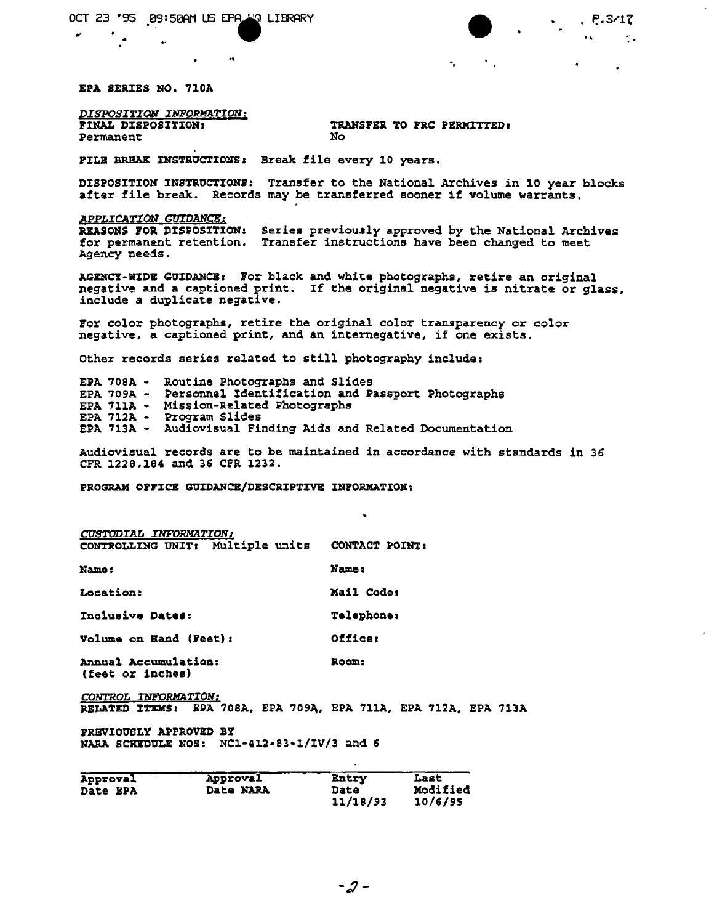$\bullet$ 

 $\bullet$ 

EPA SERIES NO. 710A

DISPOSITION INPORMATION: FINAL DISPOSITION: Permanent

TRANSFER TO FRC PERMITTED. No

 $\bullet$  .

**NWML** 

 $P.3/17$ 

 $\bullet$ 

 $\mathcal{L}$  .

FILE BREAK INSTRUCTIONS: Break file every 10 years.

DISPOSITION INSTRUCTIONS: Transfer to the National Archives in 10 year blocks after file break. Records may be transferred sooner if volume warrants.

APPLICATION GUIDANCE: REASONS FOR DISPOSITION: Series previously approved by the National Archives for permanent retention. Transfer instructions have been changed to meet Agency needs.

AGENCY-WIDE GUIDANCE: For black and white photographs, retire an original negative and a captioned print. If the original negative is nitrate or glass, include a duplicate negative.

For color photographs, retire the original color transparency or color negative, a captioned print, and an internegative, if one exists.

Other records series related to still photography include:

EPA 708A - Routine Photographs and Slides<br>EPA 709A - Personnel Identification and Passport Photographs EPA 711A - Mission-Related Photographs EPA 712A - Program Slides EPA 713A - Audiovisual Finding Aids and Related Documentation

Audiovisual records are to be maintained in accordance with standards in 36 CFR 1228.184 and 36 CFR 1232.

PROGRAM OFFICE GUIDANCE/DESCRIPTIVE INFORMATION:

| <b>CUSTODIAL INFORMATION:</b>            |                   |
|------------------------------------------|-------------------|
| CONTROLLING UNIT: Multiple units         | CONTACT POINT:    |
| Name:                                    | Name:             |
| Location:                                | Mail Code:        |
| Inclusive Dates:                         | <b>Telephone:</b> |
| Volume on Hand (Feet):                   | Officer           |
| Annual Accumulation:<br>(feet or inches) | Room:             |

CONTROL INFORMATION: RELATED ITEMS: EPA 708A, EPA 709A, EPA 711A, EPA 712A, EPA 713A

PREVIOUSLY APPROVED BY NARA SCHEDULE NOS: NC1-412-83-1/IV/3 and 6

| <b>Approval</b> | Approval         | Entry    | Last     |
|-----------------|------------------|----------|----------|
| <b>Date EPA</b> | <b>Date NARA</b> | Date     | Modified |
|                 |                  | 11/18/93 | 10/6/95  |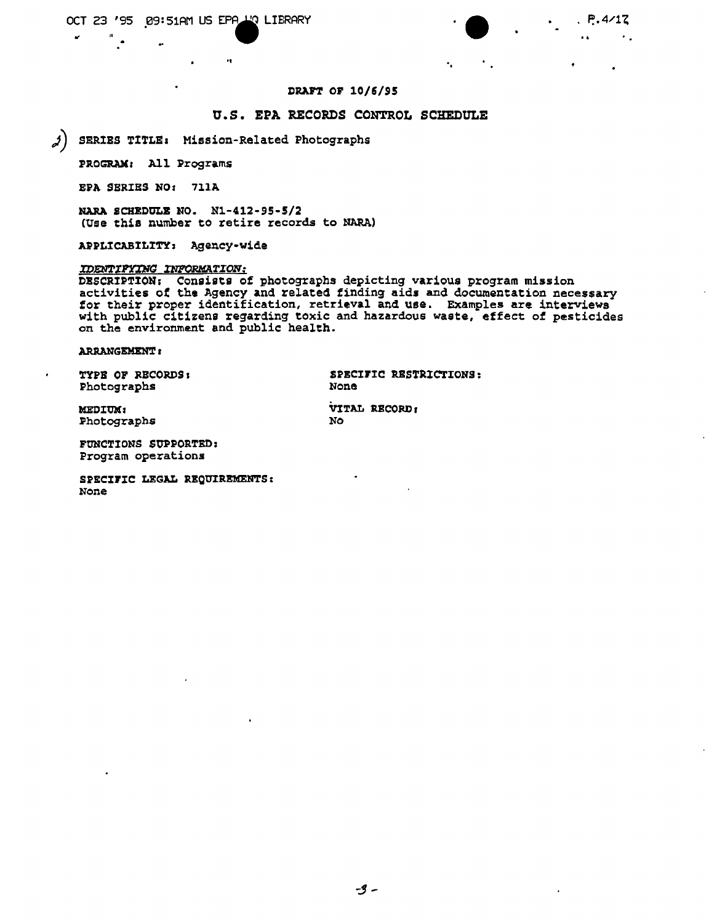$\mathbf{A}$ 

**NWML** 

# DRAFT OF 10/6/95

#### U.S. EPA RECORDS CONTROL SCHEDULE

SERIES TITLE: Mission-Related Photographs  $\boldsymbol{\lambda}$ 

 $\ddot{\phantom{0}}$ 

PROGRAM: All Programs

EPA SERIES NO: 711A

NARA SCHEDULE NO. N1-412-95-5/2 (Use this number to retire records to NARA)

APPLICABILITY: Agency-wide

#### **IDENTIFYING INFORMATION:**

DESCRIPTION: Consists of photographs depicting various program mission<br>activities of the Agency and related finding aids and documentation necessary for their proper identification, retrieval and use. Examples are interviews with public citizens regarding toxic and hazardous waste, effect of pesticides on the environment and public health.

No.

#### **ARRANGEMENT:**

TYPE OF RECORDS: Photographs

SPECIFIC RESTRICTIONS: None

VITAL RECORD:

MEDIUM: Photographs

FUNCTIONS SUPPORTED: Program operations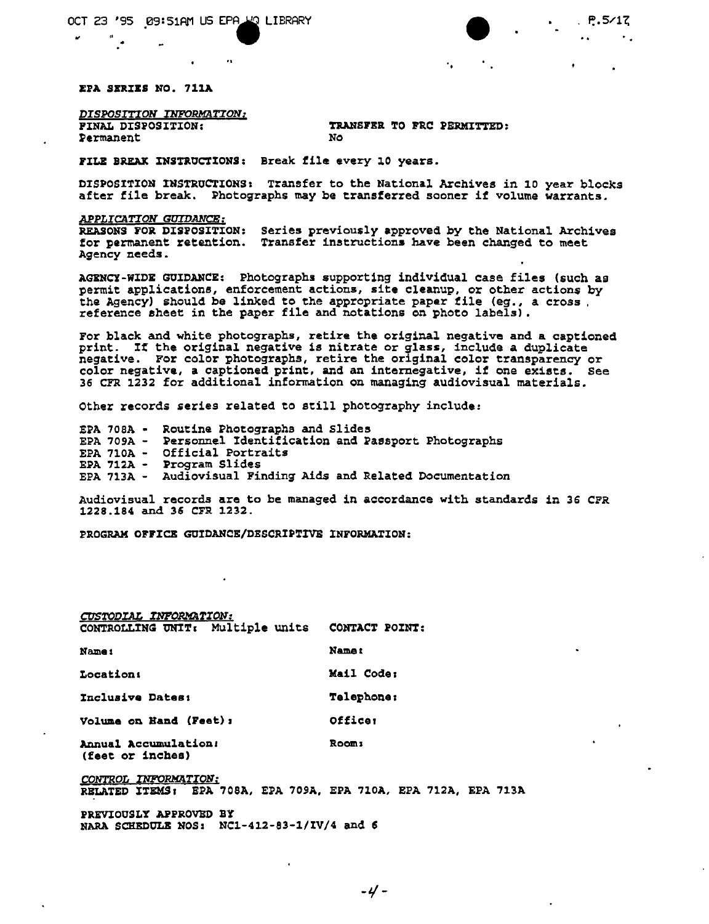$\ddot{\phantom{a}}$ 

EPA SERIES NO. 711A

*DISPOSITION INFORMATION;* Permanent

TRANSFER TO FRC PERMITTED:<br>No

 $\bullet$ 

**NWML** 

 $P.5/17$ 

 $\bullet$  .

FILE BREAK INSTRUCTIONS: Break file every 10 years.

DISPOSITION INSTRUCTIONS: Transfer to the National Archives in 10 year blocks after file break. Photographs may be transferred sooner if volume warrants.

*APPLICATION GUIDANCE:*

REASONS FOR DISPOSITION: Series previously approved by the National Archive for permanent retention. Transfer instructions have been changed to meet Agency needs.

AGENCY-WIDE GUIDANCE: Photographs \$upporting individual case files (such as permit applications, enforcement actions, site cleanup, or other actions by the Agency) should be linked to the appropriate paper file (eg., a cross reference sheet in the paper file and notations on photo labels).

For black and white photographs, retire the original negative and a captioned print. If the original negative is nitrate or glass, include a duplicate negative. For color photographs, retire the original color transparency or color negative, a captioned print, and an internegative, if one exists. See 36 CFR 1232 for additional information on managing audiovisual materials.

Other records &eries related to still photography include:

EPA 70SA • Routine Photographs and Slides EPA 709A - Personnel Identification and Passport Photograph EPA 7l0A - Official Portraits EPA 712A - Program Slides EPA 713A - Audiovisual Finding Aids and Related Documentatio

Audiovisual records are to be managed in a~eordanee with standards in *3G* CPR 1228.184 and 36 CFR 1232.

PROGRAM OFFICE GUIDANCE/DESCRIPTIVE INFORMATION:

| CUSTODIAL INFORMATION:                                          |                |
|-----------------------------------------------------------------|----------------|
| CONTROLLING UNIT: Multiple units                                | CONTACT POINT: |
| Name :                                                          | Name:          |
| <b>Location:</b>                                                | Mail Code:     |
| Inclusive Dates:                                                | Telephone:     |
| <b>Volume on Hand (Feet):</b>                                   | Officer        |
| Annual Accumulation:<br>(feet or inches)                        | Room:          |
| CONTROL INFORMATION:                                            |                |
| RELATED ITEMS: EPA 708A, EPA 709A, EPA 710A, EPA 712A, EPA 713A |                |

PREVIOUSLY APPROVED BY

NARA SCHEDOLB NOS: NCl-412-83-1/IV/4 and 5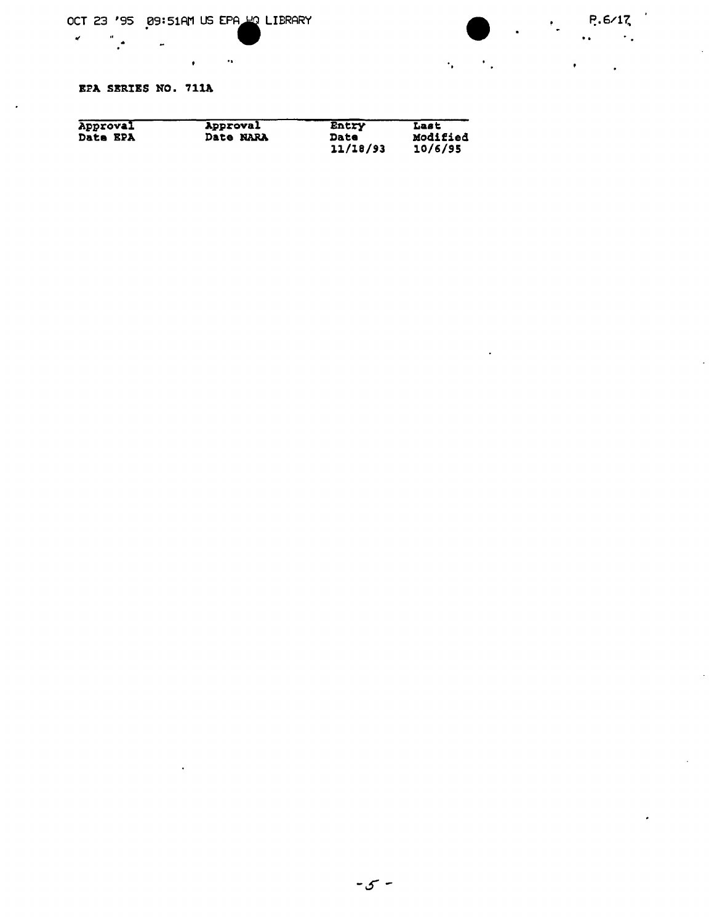$\mathcal{L}_{\text{max}}$  and  $\mathcal{L}_{\text{max}}$ 



 $\mathcal{L}^{\text{max}}$  .

EPA SERIES NO. 711A

 $\frac{a}{a}$   $\frac{a}{a}$ 

 $\sigma_{\rm{max}}$ 

| Approval        | Approval  | Entry    | Last     |
|-----------------|-----------|----------|----------|
| <b>Date EPA</b> | Date NARA | Date     | Modified |
|                 |           | 11/18/93 | 10/6/95  |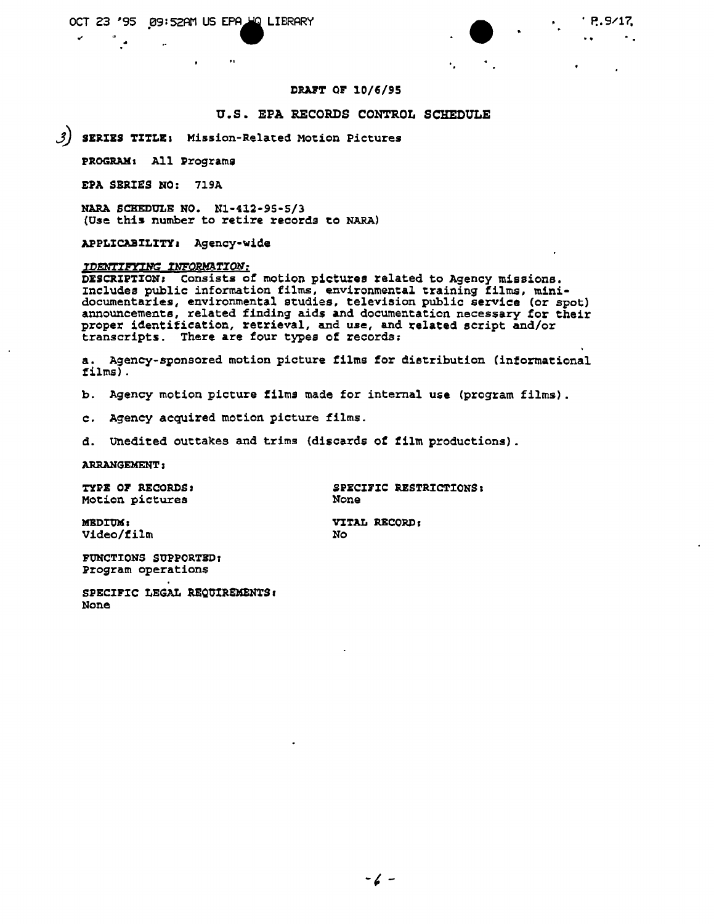$\ddot{\bullet}$ 

 $\mathbf{r}$  ,  $\mathbf{r}$ 

 $\mathcal{L}_{\text{max}}$ 

 $\sim 10^{-1}$ 

#### DRAFT OF 10/6/95

#### U.S. EPA RECORDS CONTROL SCHEDULE

(می SERIES TITLE: Mission-Related Motion Pictures

 $\bullet$ 

PROGRAM: All Programs

EPA SERIES NO: 719A

NARA SCHEDULE NO. N1-412-95-5/3 (Use this number to retire records to NARA)

APPLICABILITY: Agency-wide

# IDENTIFYING INFORMATION:

DESCRIPTION: Consists of motion pictures related to Agency missions. Includes public information films, environmental training films, mini-<br>documentaries, environmental studies, television public service (or spot)<br>announcements, related finding aids and documentation necessary for their proper identification, retrieval, and use, and related script and/or transcripts. There are four types of records:

a. Agency-sponsored motion picture films for distribution (informational  $films)$ .

**No** 

 $\mathbf b$ . Agency motion picture films made for internal use (program films).

c. Agency acquired motion picture films.

d. Unedited outtakes and trims (discards of film productions).

**ARRANGEMENT:** 

TYPE OF RECORDS: Motion pictures

SPECIFIC RESTRICTIONS: None

VITAL RECORD:

MEDIUM: Video/film

FUNCTIONS SUPPORTED: Program operations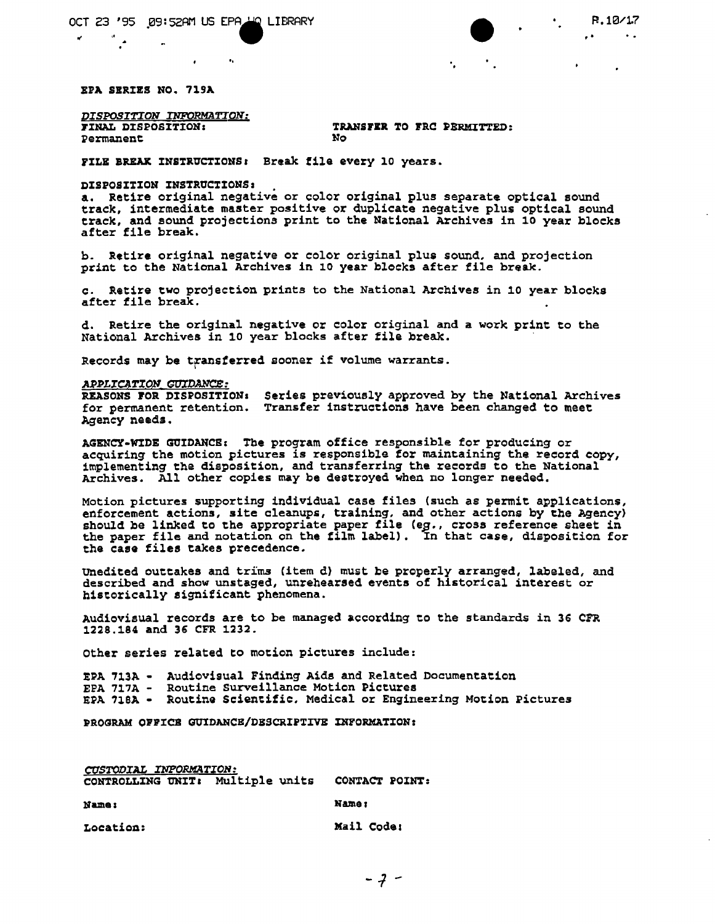**•**  $\therefore$  **P.1841.**<br> $\therefore$  **P.1841.**  $P.10/17$ 

EfA SERIES NO. 71SA

*DISPOSITION INFORMATION:* **Permanent** 

TRANSFER TO FRC PERMITTED:<br>No

FILE BREAK INSTRUCTIONS: Break file every 10 years.

#### DISPOSITION INSTRUCTIONS:

a. Retire original negative or color original plus separate optical sound track, intermediate master positive or duplicate negative plus optical sound track, and sound projections print to the National Archives in 10 year blocks after file break.

b. Retire original negative or color original plus sound, and projection print to the National Archives in 10 year blocks after file break.

" "

c. Retire two projection prints to the National Archives in 10 year blocks after file break.

d. Retire the original negative or color original and a work print to the National Archives in 10 year blocks after file break.

Records may be transferred sooner if volume warrants.

#### APPLICATION GUIDANCE:

REASONS FOR DISPOSITION for permanent retention. Agency needs, Series previously approved by the National Archives Transfer instruotions have been changed to meet

AGENCY-WIDE GUIDANCE: The program office responsible for producing or acquiring the motion pictures is responsible for maintaining the record copy, implementing the disposition, and transferring the records to the National Archives. All other copies may be destroyed when no longer needed.

Motion pictures supporting individual case files (such as permit applications, enforcement actions, site cleanups, training, and other actions by the Agency) should be linked to the appropriate paper file (eg., cross reference sheet in the paper file and notation on the film label). In that case, disposition for the case files takes precedence.

Unedited outtakes and trims (item d) must be properly arranged, labeled, and described and show unstaged, unrehearsed events of historical interest or h1seorieally significant phenomena.

Audiovisual records are to be managed according to the standards in 36 CFR 1228.184 and 36 CFR 1232.

Other series related to motion pictures include:

EPA 713A - Audiovisual Finding Aids and Related Documentation EFA 717A - Routine Surveillance Motion Pictures EPA 718A - Routine Scientific, Medical or Engineering Motion Pictures

PROGRAM OPPZCB GUZDANCB/DBSCRIPTIVE XNFORMATION:

*CUSTODIAL INFORMATION:* CONTROLLING UNIT: Multiple units CONTACT POINT: Name: Hamer Hamer Hamer Hamer Location: Mail Code: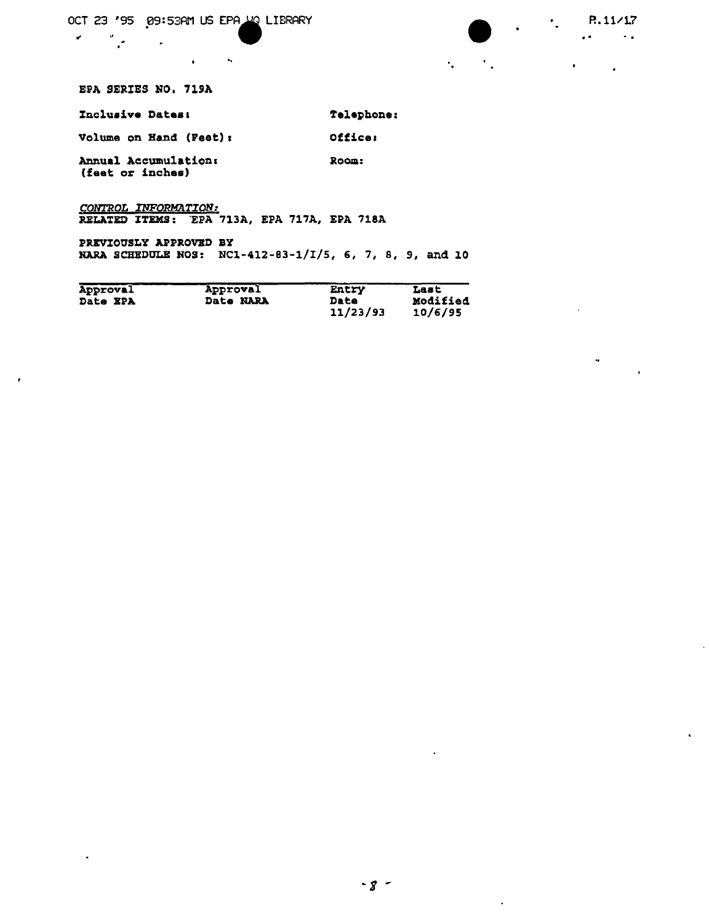OCT 23 '95 09:53AM US EPA UQ LIBRARY

 $\mathbf{u}$  ,  $\mathbf{u}$ 

 $\langle \cdot, \cdot \rangle$ 

NWML  $P.11/17$ 

 $\mathbf{A}$  and  $\mathbf{A}$ 

 $\mathcal{L}^{\mathcal{L}}(\mathcal{L}^{\mathcal{L}}(\mathcal{L}^{\mathcal{L}}(\mathcal{L}^{\mathcal{L}}(\mathcal{L}^{\mathcal{L}}(\mathcal{L}^{\mathcal{L}}(\mathcal{L}^{\mathcal{L}}(\mathcal{L}^{\mathcal{L}}(\mathcal{L}^{\mathcal{L}}(\mathcal{L}^{\mathcal{L}}(\mathcal{L}^{\mathcal{L}}(\mathcal{L}^{\mathcal{L}}(\mathcal{L}^{\mathcal{L}}(\mathcal{L}^{\mathcal{L}}(\mathcal{L}^{\mathcal{L}}(\mathcal{L}^{\mathcal{L}}(\mathcal{L}^{\mathcal{L$ 

 $\sim$   $\sim$ 

 $\ddot{\phantom{1}}$ 

 $\bullet$ 

 $\bullet$  .

 $\mathbf{v}$ 

 $\mathcal{H}^{\text{c}}_{\text{c}}$  ,  $\mathcal{H}^{\text{c}}_{\text{c}}$  ,  $\mathcal{H}^{\text{c}}_{\text{c}}$ 

EPA SERIES NO. 719A

 $\sim$   $\sim$ 

 $\frac{d\mathbf{r}}{d\mathbf{r}}$  , where  $\mathbf{r}$ 

 $\mathbf{w} = \mathbf{w}$ 

 $\sim$ 

| Inclusive Dates:                         | <b>Telephone:</b> |
|------------------------------------------|-------------------|
| Volume on Hand (Feet);                   | Office:           |
| Annual Accumulation:<br>(feet or inches) | Room:             |

CONTROL INFORMATION: RELATED ITEMS: EPA 713A, EPA 717A, EPA 718A

PREVIOUSLY APPROVED BY NARA SCHEDULE NOS: NC1-412-83-1/I/5, 6, 7, 8, 9, and 10

| Approval        | Approval  | Entry    | Last     |
|-----------------|-----------|----------|----------|
| <b>Date EPA</b> | Date NARA | Date     | Modified |
|                 |           | 11/23/93 | 10/6/95  |

 $\langle \cdot \rangle$ 

 $\Delta$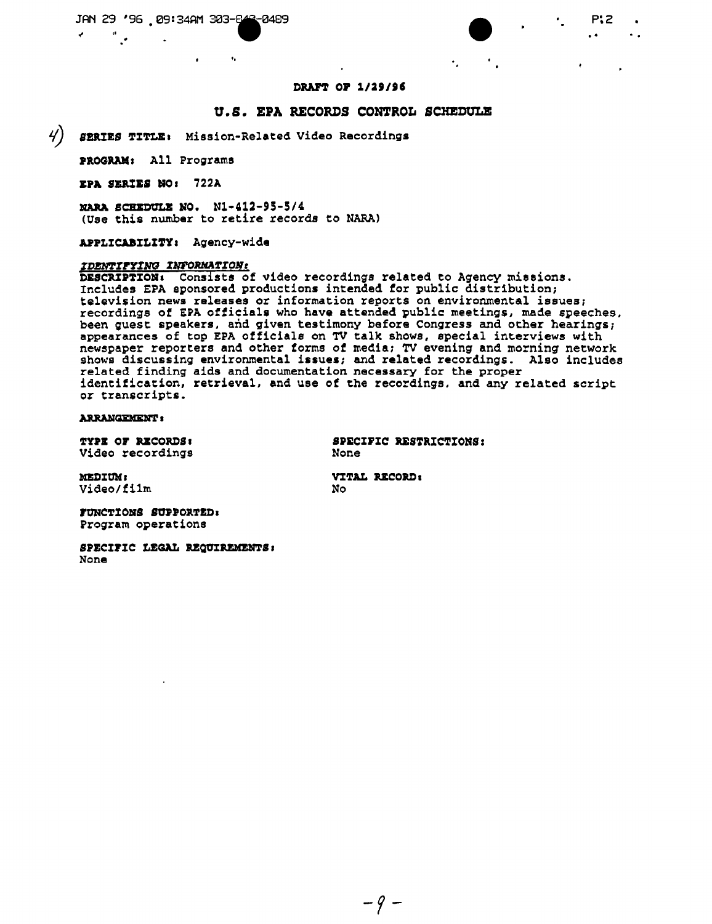$\bullet$ 

# • P~2

"

 $P:Z$ <br> $\cdot$ 

#### DRAFT OF 1/29/96

#### u. S. EPA RECORDS CONTROL SCKEDULB

¥) *B2RIRS* ~ITLE. Mission-Related Video Recordings

I.

PROGRAM: All Programs

BPA SBRIES HOI 722A

NARA SCHEDULE NO. N1-412-95-5/4 (Use this number to retire records to NARA)

APPLICABILITY, Agency-wide

# *lDl:mrrrrW rNE'ORHA'l'lOJlr*

DESCRIPTION. consists of video recordings related to Agency missions. Includes EPA sponsored productions intended for public distribution; television news releases or information reports on environmental issuesi recordings of EPA officiale who have attended public meetings, made speeches, been guest speaKers, and given testimony before Congress and other hearings; appearances of top EPA officiale on TV talk shows, epecial interviews with newspaper reporters and other torms of media: TV evening and morning network shows discussing environmental issues; and related recordings, Also includes related finding aids and documentation necessary for the proper identification, retrieval, and use of the recordings, and any related script *or* transcripts.

**ARRANGEMENT:** 

TYPE OF RECORDS: Video recordings

SPEClrIC RESTRICTIONS: None

**MEDIUM:** Video/film

VITAL RECORD: No

FUNCTIONS SUPPORTED: Program operations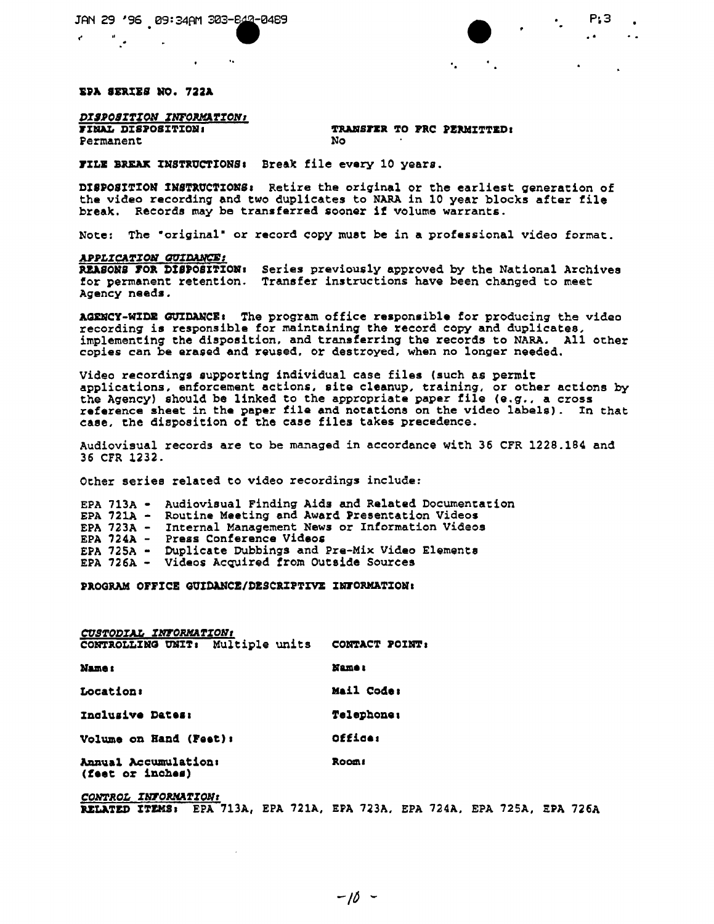#### EPA SERIES WO. 722A

# *DISPOSITION INFORMATION!*<br>FINAL DISPOSITION:

Permanent

# TRANSFER TO PRC PERMITTED:<br>No

"

FILE BREAK INSTRUCTIONS: Break file every 10 years.

 $\mathcal{A}_{\bullet}$ 

DISPOSITION INSTRUCTIONS: Retire the original or the earliest generation of the video recording and two duplicates to NARA in 10 year blocks after file break. Records may be transferred sooner if volume warrants,

Note: The "original" or record copy must be in a professional video format.

#### $APPLICATION$  *GUIDANCE:*

REASONS FOR DISPOSITION: Series previously approved by the National Archive for permanent retention, Transfer instructions have been changed to meet Agency needs.

AGENCY-WIDE GUIDANCE: The program office responsible for producing the video recording is responsible for maintaining the record copy and duplicates, implementing the disposition. and transferring the records to NARA. All ocher copies can be erased and reused. or destroyed. when no longer needed.

Video recordings 8upporting individual case files (such as permit applications, enforcement actions. site cleanup, training, or other actions by the Agency) should be linked to the appropriate paper file *(e.g.,* a cross reference sheet in the paper tile and notations on the video labels). In that case. the disposition of the case files takes precedence.

Audiovisual records are to be managed in accordance with 36 CFR 1228.184 and 36 CrR 1232.

Other series related to video recordings includ@:

EPA 713A - Audiovisual Finding Aids and Related Documentation EPA 721A - Routine Meeting and Award Presentation Videos EPA 723A – Internal Management News or Information Video EPA 724A - Press Conference Videos EPA 725A - Duplicate Dubbings and Pre-Mix Video Elements EPA 726A - Videos Acquired from Outside Sources

PROGRAM OFFICE GUIDANCE/DESCRIPTIVE INFORMATION:

| CUSTODIAL INFORMATION:                   |                   |
|------------------------------------------|-------------------|
| CONTROLLING UNIT: Multiple units         | CONTACT POINT:    |
| Name:                                    | <b>Name</b> 1     |
| Location:                                | Mail Code:        |
| Inclusive Dates:                         | <b>Telephone:</b> |
| Volume on Hand (Feet):                   | Office:           |
| Annual Accumulation:<br>(feet or inches) | <b>Room:</b>      |

*CO~ROL ZN70RHATZON:* ~LATED ITEKS. EPA 713A, EPA 721A, EPA 723A. EPA 724A. EPA 72SA. EPA 726A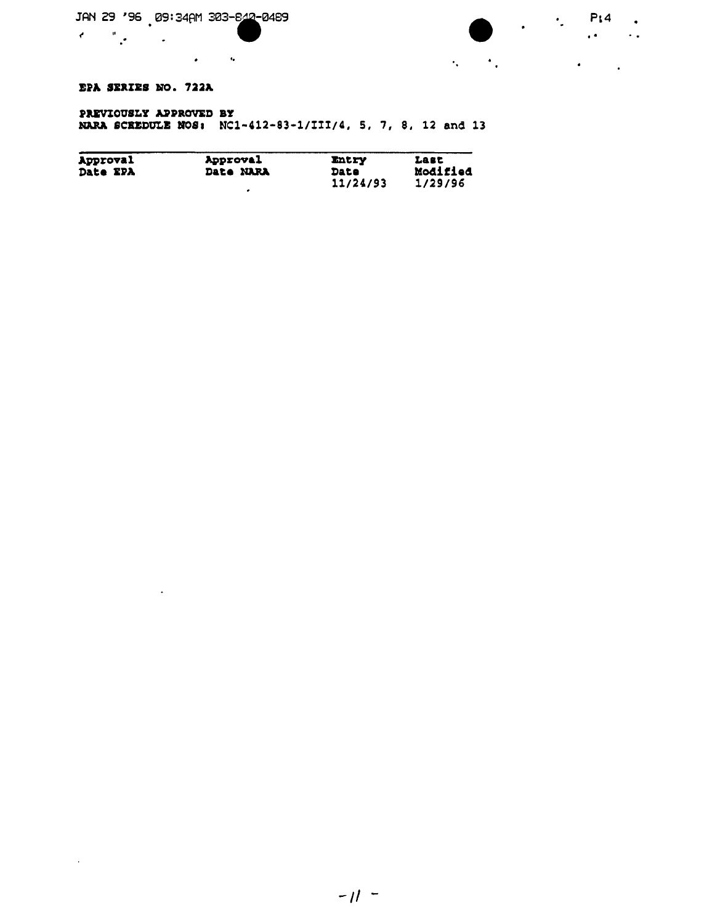$\mathcal{L}^{\text{max}}(\mathbf{z})$  and  $\mathcal{L}^{\text{max}}(\mathbf{z})$ 

# EPA SERIES NO. 722A

 $\sim 100$  km s  $^{-1}$ 

 $\sim 10^{11}$ 

 $\label{eq:2} \mathcal{E}^{(1)} = \mathcal{E}^{(1)}_{\mathcal{E}} \mathcal{E}^{(1)}_{\mathcal{E}} \mathcal{E}^{(1)}_{\mathcal{E}} \mathcal{E}^{(1)}_{\mathcal{E}}$ 

## PREVIOUSLY APPROVED BY NARA SCREDULE NOS: NC1-412-83-1/III/4, 5, 7, 8, 12 and 13

| Approval        | Approval         | <b>Entry</b> | Last     |
|-----------------|------------------|--------------|----------|
| <b>Date EPA</b> | <b>Date NARA</b> | Date         | Modified |
|                 |                  | 11/24/93     | 1/29/96  |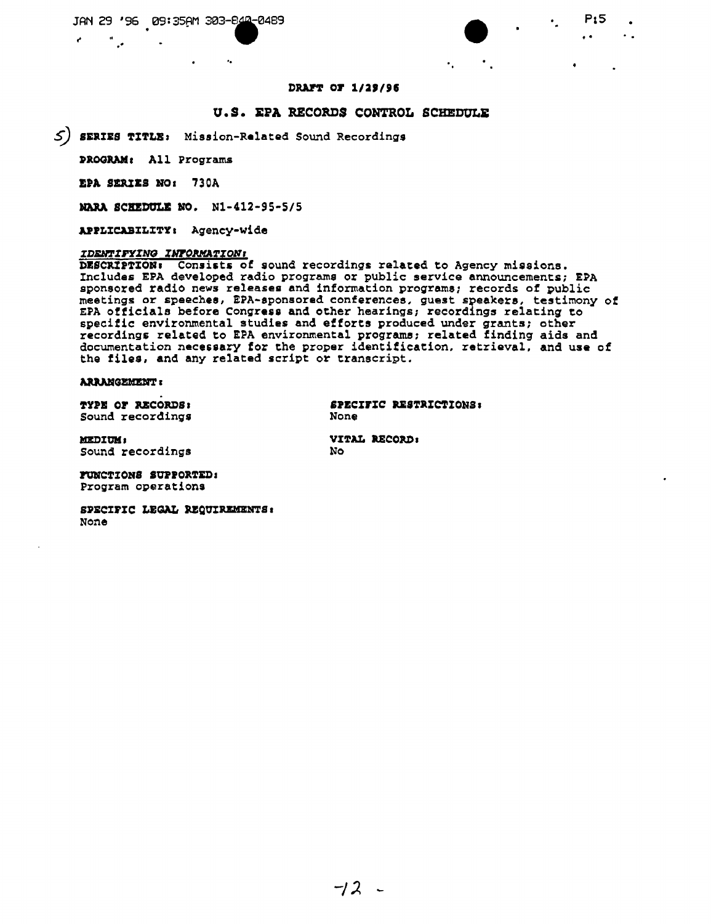$\sim$ 

 $P<sub>15</sub>$ 

 $\ddot{\phantom{a}}$ 

 $\mathbf{A}$ 

## DRAFT OF 1/29/96

# U.S. EPA RECORDS CONTROL SCHEDULE

 $\mathbf{e}_{\mathbf{a}}$  .

 $\left\langle S\right\rangle$  SERIES TITLE: Mission-Related Sound Recordings

 $\mathbf{r}_\mathbf{a}$ 

PROGRAM: All Programs

EPA SERIES NO: 730A

MARA SCHEDULE NO. N1-412-95-5/5

APPLICABILITY: Agency-wide

#### IDENTIFYING INFORMATION!

DESCRIPTION: Consists of sound recordings related to Agency missions.<br>Includes EPA developed radio programs or public service announcements; EPA sponsored radio news releases and information programs; records of public meetings or speeches, EPA-sponsored conferences, guest speakers, testimony of EPA officials before Congress and other hearings; recordings relating to specific environmental studies and efforts produced under grants; other recordings related to EPA environmental programs; related finding aids and documentation necessary for the proper identification, retrieval, and use of the files, and any related script or transcript.

### **ARRANGEMENT:**

TYPE OF RECORDS: Sound recordings SPECIFIC RESTRICTIONS: None

**MEDIUM:** Sound recordings VITAL RECORD: **No** 

**FUNCTIONS SUPPORTED:** Program operations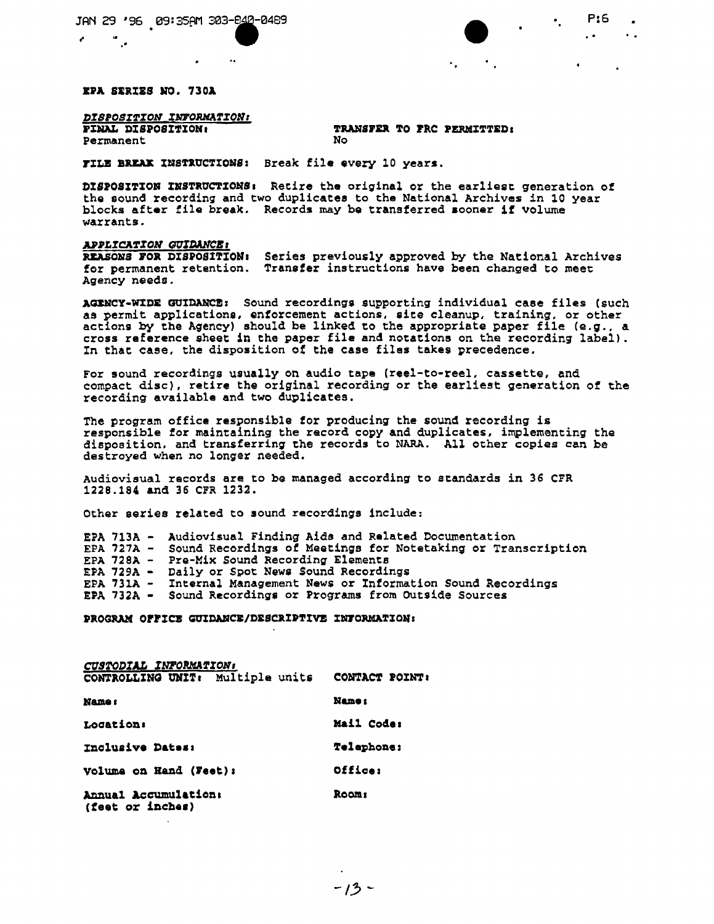$\begin{array}{ccc} \bullet & \cdot & \cdot & \cdot & \cdot & \cdot \bullet \ \cdot & \cdot & \cdot & \cdot & \cdot \end{array}$ 

EPA SERIES NO. 730A

# *DISPOSITION INFORMATION:*<br>FINAL DISPOSITION:

Permanent

<sup>~</sup> .•."

# TRANSFER TO FRC PERMITTED:<br>No

 $\ddot{\phantom{a}}$ 

FILE BREAK INSTRUCTIONS: Break file every 10 years.

 $\ddot{\phantom{a}}$ 

DISPOSITION INSTRUCTIONS: Retire the original or the earliest generation of the sound recording and two duplicates to the National Archives in 10 year blocks after file break. Records may be transferred sooner if volume warrants.

#### *~~LrCA~rON GUr~~,*

REASONS FOR DISPOSITION: Series previously approved by the National Archives for permanent retention. Transfer instructions have been changed to meet Agency needs.

AaEHCY·W%DE GUlnANCE: Sound recordings supporting individual case files (such as permit applications, enforcement actions, site cleanup, training, or other<br>actions by the Agency) should be linked to the appropriate paper file (e.g., a cross reference sheet in the paper file and notations on the recording label). In that case, the disposition of the ease files takes precedence,

For sound recordings usually on audio tape (reel-to-reel, cassette, and compact disc), retire the original recording or the earliest generation of the recording available and two duplieates.

The program office responsible for producing the sound recording is responsible *tor* maintaining the record copy and duplicates, implementing the disposition, and transferring the records to NARA. All other copies can be destroyed when no longer needed.

Audiovisual records are to be managed according to standards in 36 erR 1228.184 and 36 eFR 1232.

Other series related to sound recordings include:

|  | EPA 713A - Audiovisual Finding Aids and Related Documentation           |
|--|-------------------------------------------------------------------------|
|  | EPA 727A - Sound Recordings of Meetings for Notetaking or Transcription |
|  | EPA 728A - Pre-Mix Sound Recording Elements                             |
|  | EPA 729A - Daily or Spot News Sound Recordings                          |
|  | EPA 731A - Internal Management News or Information Sound Recordings     |
|  | EPA 732A - Sound Recordings or Programs from Outside Sources            |

PROGRAM OFFICE GUIDANCE/DESCRIPTIVE INFORMATION:

| CUSTODIAL INFORMATION:                   |                |
|------------------------------------------|----------------|
| CONTROLLING UNIT: Multiple units         | CONTACT POINT: |
| <b>Name:</b>                             | Name :         |
| Location:                                | Mail Code:     |
| Inclusive Dates:                         | Telephone:     |
| <b>Volume on Hand (Feet):</b>            | Office:        |
| Annual Accumulation:<br>(feet or inches) | <b>Room:</b>   |